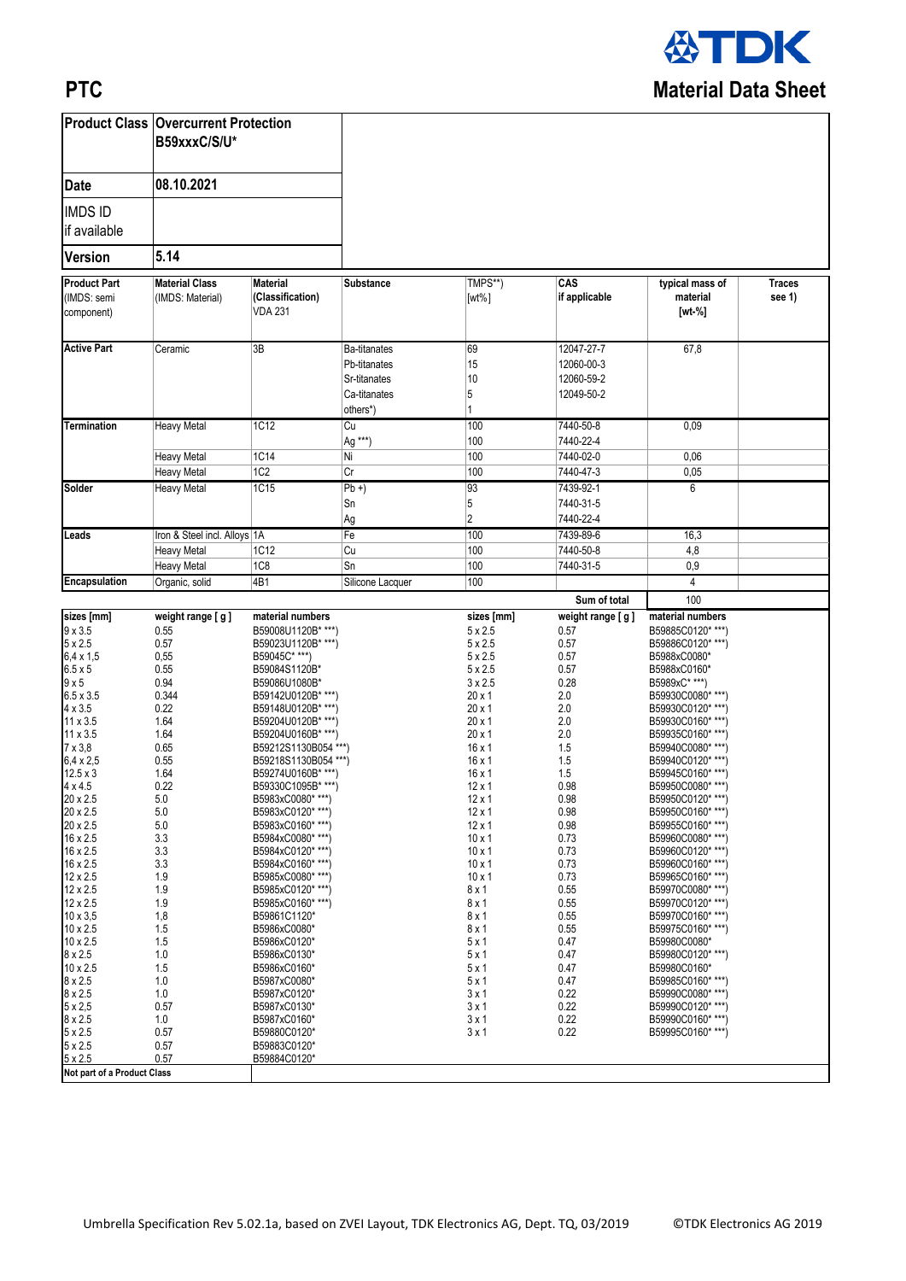

## **PTC**

|                                                                                                                                                                                                                                                                                                                                                                                                                                                                                   | <b>Product Class   Overcurrent Protection</b><br>B59xxxC/S/U*<br>08.10.2021                                                                                                                                                                        |                                                                                                                                                                                                                                                                                                                                                                                                                                                                                                                                                                                                          |                                                                                 |                                                                                                                                                                                                                                                                                                                                                                                                               |                                                                                                                                                                                                                               |                                                                                                                                                                                                                                                                                                                                                                                                                                                                                                                                                                                      |                         |
|-----------------------------------------------------------------------------------------------------------------------------------------------------------------------------------------------------------------------------------------------------------------------------------------------------------------------------------------------------------------------------------------------------------------------------------------------------------------------------------|----------------------------------------------------------------------------------------------------------------------------------------------------------------------------------------------------------------------------------------------------|----------------------------------------------------------------------------------------------------------------------------------------------------------------------------------------------------------------------------------------------------------------------------------------------------------------------------------------------------------------------------------------------------------------------------------------------------------------------------------------------------------------------------------------------------------------------------------------------------------|---------------------------------------------------------------------------------|---------------------------------------------------------------------------------------------------------------------------------------------------------------------------------------------------------------------------------------------------------------------------------------------------------------------------------------------------------------------------------------------------------------|-------------------------------------------------------------------------------------------------------------------------------------------------------------------------------------------------------------------------------|--------------------------------------------------------------------------------------------------------------------------------------------------------------------------------------------------------------------------------------------------------------------------------------------------------------------------------------------------------------------------------------------------------------------------------------------------------------------------------------------------------------------------------------------------------------------------------------|-------------------------|
| <b>Date</b>                                                                                                                                                                                                                                                                                                                                                                                                                                                                       |                                                                                                                                                                                                                                                    |                                                                                                                                                                                                                                                                                                                                                                                                                                                                                                                                                                                                          |                                                                                 |                                                                                                                                                                                                                                                                                                                                                                                                               |                                                                                                                                                                                                                               |                                                                                                                                                                                                                                                                                                                                                                                                                                                                                                                                                                                      |                         |
| <b>IMDS ID</b><br>if available                                                                                                                                                                                                                                                                                                                                                                                                                                                    |                                                                                                                                                                                                                                                    |                                                                                                                                                                                                                                                                                                                                                                                                                                                                                                                                                                                                          |                                                                                 |                                                                                                                                                                                                                                                                                                                                                                                                               |                                                                                                                                                                                                                               |                                                                                                                                                                                                                                                                                                                                                                                                                                                                                                                                                                                      |                         |
| <b>Version</b>                                                                                                                                                                                                                                                                                                                                                                                                                                                                    | 5.14                                                                                                                                                                                                                                               |                                                                                                                                                                                                                                                                                                                                                                                                                                                                                                                                                                                                          |                                                                                 |                                                                                                                                                                                                                                                                                                                                                                                                               |                                                                                                                                                                                                                               |                                                                                                                                                                                                                                                                                                                                                                                                                                                                                                                                                                                      |                         |
| <b>Product Part</b><br>(IMDS: semi<br>component)                                                                                                                                                                                                                                                                                                                                                                                                                                  | <b>Material Class</b><br>(IMDS: Material)                                                                                                                                                                                                          | <b>Material</b><br>(Classification)<br><b>VDA 231</b>                                                                                                                                                                                                                                                                                                                                                                                                                                                                                                                                                    | <b>Substance</b>                                                                | TMPS**)<br>$[wt\%]$                                                                                                                                                                                                                                                                                                                                                                                           | CAS<br>if applicable                                                                                                                                                                                                          | typical mass of<br>material<br>$[wt-%]$                                                                                                                                                                                                                                                                                                                                                                                                                                                                                                                                              | <b>Traces</b><br>see 1) |
| <b>Active Part</b>                                                                                                                                                                                                                                                                                                                                                                                                                                                                | Ceramic                                                                                                                                                                                                                                            | 3B                                                                                                                                                                                                                                                                                                                                                                                                                                                                                                                                                                                                       | <b>Ba-titanates</b><br>Pb-titanates<br>Sr-titanates<br>Ca-titanates<br>others*) | 69<br>15<br>10<br>5                                                                                                                                                                                                                                                                                                                                                                                           | 12047-27-7<br>12060-00-3<br>12060-59-2<br>12049-50-2                                                                                                                                                                          | 67,8                                                                                                                                                                                                                                                                                                                                                                                                                                                                                                                                                                                 |                         |
| <b>Termination</b>                                                                                                                                                                                                                                                                                                                                                                                                                                                                | <b>Heavy Metal</b>                                                                                                                                                                                                                                 | <b>1C12</b>                                                                                                                                                                                                                                                                                                                                                                                                                                                                                                                                                                                              | $\overline{Cu}$<br>Ag ***)                                                      | 100<br>100                                                                                                                                                                                                                                                                                                                                                                                                    | 7440-50-8<br>7440-22-4                                                                                                                                                                                                        | 0,09                                                                                                                                                                                                                                                                                                                                                                                                                                                                                                                                                                                 |                         |
|                                                                                                                                                                                                                                                                                                                                                                                                                                                                                   | <b>Heavy Metal</b><br><b>Heavy Metal</b>                                                                                                                                                                                                           | 1C14<br>1C <sub>2</sub>                                                                                                                                                                                                                                                                                                                                                                                                                                                                                                                                                                                  | Ni<br>$\overline{Cr}$                                                           | 100<br>100                                                                                                                                                                                                                                                                                                                                                                                                    | 7440-02-0<br>7440-47-3                                                                                                                                                                                                        | 0,06<br>0,05                                                                                                                                                                                                                                                                                                                                                                                                                                                                                                                                                                         |                         |
| <b>Solder</b>                                                                                                                                                                                                                                                                                                                                                                                                                                                                     | <b>Heavy Metal</b>                                                                                                                                                                                                                                 | 1C15                                                                                                                                                                                                                                                                                                                                                                                                                                                                                                                                                                                                     | $Pb +$<br>Sn<br>Ag                                                              | 93<br>5<br>$\overline{2}$                                                                                                                                                                                                                                                                                                                                                                                     | 7439-92-1<br>7440-31-5<br>7440-22-4                                                                                                                                                                                           | 6                                                                                                                                                                                                                                                                                                                                                                                                                                                                                                                                                                                    |                         |
| Leads                                                                                                                                                                                                                                                                                                                                                                                                                                                                             | Iron & Steel incl. Alloys 1A                                                                                                                                                                                                                       |                                                                                                                                                                                                                                                                                                                                                                                                                                                                                                                                                                                                          | Fe                                                                              | 100                                                                                                                                                                                                                                                                                                                                                                                                           | 7439-89-6                                                                                                                                                                                                                     | 16,3                                                                                                                                                                                                                                                                                                                                                                                                                                                                                                                                                                                 |                         |
|                                                                                                                                                                                                                                                                                                                                                                                                                                                                                   | <b>Heavy Metal</b><br><b>Heavy Metal</b>                                                                                                                                                                                                           | 1C12<br>1C8                                                                                                                                                                                                                                                                                                                                                                                                                                                                                                                                                                                              | Cu<br>Sn                                                                        | 100<br>100                                                                                                                                                                                                                                                                                                                                                                                                    | 7440-50-8<br>7440-31-5                                                                                                                                                                                                        | 4,8<br>0,9                                                                                                                                                                                                                                                                                                                                                                                                                                                                                                                                                                           |                         |
| Encapsulation                                                                                                                                                                                                                                                                                                                                                                                                                                                                     | Organic, solid                                                                                                                                                                                                                                     | 4B1                                                                                                                                                                                                                                                                                                                                                                                                                                                                                                                                                                                                      | Silicone Lacquer                                                                | 100                                                                                                                                                                                                                                                                                                                                                                                                           |                                                                                                                                                                                                                               | 4                                                                                                                                                                                                                                                                                                                                                                                                                                                                                                                                                                                    |                         |
|                                                                                                                                                                                                                                                                                                                                                                                                                                                                                   |                                                                                                                                                                                                                                                    |                                                                                                                                                                                                                                                                                                                                                                                                                                                                                                                                                                                                          |                                                                                 |                                                                                                                                                                                                                                                                                                                                                                                                               | Sum of total                                                                                                                                                                                                                  | 100                                                                                                                                                                                                                                                                                                                                                                                                                                                                                                                                                                                  |                         |
| sizes [mm]<br>$9 \times 3.5$                                                                                                                                                                                                                                                                                                                                                                                                                                                      | weight range [g]<br>0.55                                                                                                                                                                                                                           | material numbers<br>B59008U1120B* ***)                                                                                                                                                                                                                                                                                                                                                                                                                                                                                                                                                                   |                                                                                 | sizes [mm]<br>$5 \times 2.5$                                                                                                                                                                                                                                                                                                                                                                                  | weight range [g]<br>0.57                                                                                                                                                                                                      | material numbers<br>B59885C0120****)                                                                                                                                                                                                                                                                                                                                                                                                                                                                                                                                                 |                         |
| $5 \times 2.5$<br>$6,4 \times 1,5$                                                                                                                                                                                                                                                                                                                                                                                                                                                | 0.57<br>0,55                                                                                                                                                                                                                                       | B59023U1120B****)<br>B59045C* ***)                                                                                                                                                                                                                                                                                                                                                                                                                                                                                                                                                                       |                                                                                 | $5 \times 2.5$<br>$5 \times 2.5$                                                                                                                                                                                                                                                                                                                                                                              | 0.57<br>0.57                                                                                                                                                                                                                  | B59886C0120****)<br>B5988xC0080*                                                                                                                                                                                                                                                                                                                                                                                                                                                                                                                                                     |                         |
| $6.5 \times 5$<br>9x5<br>$6.5 \times 3.5$<br>$4 \times 3.5$<br>11 x 3.5<br>$11 \times 3.5$<br>$7 \times 3,8$<br>$6.4 \times 2.5$<br>$12.5 \times 3$<br>$4 \times 4.5$<br>20 x 2.5<br>20 x 2.5<br>20 x 2.5<br>16 x 2.5<br>16 x 2.5<br>16 x 2.5<br>12 x 2.5<br>12 x 2.5<br>12 x 2.5<br>$10 \times 3,5$<br>10 x 2.5<br>10 x 2.5<br>$8 \times 2.5$<br>$10 \times 2.5$<br>8 x 2.5<br>$8 \times 2.5$<br>$5 \times 2,5$<br>8 x 2.5<br>$5 \times 2.5$<br>$5 \times 2.5$<br>$5 \times 2.5$ | 0.55<br>0.94<br>0.344<br>0.22<br>1.64<br>1.64<br>0.65<br>0.55<br>1.64<br>0.22<br>$5.0\,$<br>$5.0\,$<br>5.0<br>3.3<br>3.3<br>3.3<br>1.9<br>1.9<br>1.9<br>1,8<br>1.5<br>1.5<br>1.0<br>1.5<br>$1.0$<br>1.0<br>0.57<br>$1.0\,$<br>0.57<br>0.57<br>0.57 | B59084S1120B*<br>B59086U1080B*<br>B59142U0120B* ***)<br>B59148U0120B* ***)<br>B59204U0120B* ***)<br>B59204U0160B* ***)<br>B59212S1130B054 ***)<br>B59218S1130B054 ***)<br>B59274U0160B* ***)<br>B59330C1095B* ***)<br>B5983xC0080****)<br>B5983xC0120* ***)<br>B5983xC0160****)<br>B5984xC0080****)<br>B5984xC0120****)<br>B5984xC0160****)<br>B5985xC0080****)<br>B5985xC0120****)<br>B5985xC0160* ***)<br>B59861C1120*<br>B5986xC0080*<br>B5986xC0120*<br>B5986xC0130*<br>B5986xC0160*<br>B5987xC0080*<br>B5987xC0120*<br>B5987xC0130*<br>B5987xC0160*<br>B59880C0120*<br>B59883C0120*<br>B59884C0120* |                                                                                 | $5 \times 2.5$<br>$3 \times 2.5$<br>$20 \times 1$<br>$20 \times 1$<br>$20 \times 1$<br>$20 \times 1$<br>$16 \times 1$<br>$16 \times 1$<br>$16 \times 1$<br>$12 \times 1$<br>$12 \times 1$<br>$12 \times 1$<br>$12 \times 1$<br>$10 \times 1$<br>$10 \times 1$<br>$10 \times 1$<br>$10 \times 1$<br>8 x 1<br>8 x 1<br>8 x 1<br>8 x 1<br>5x1<br>5x1<br>5x1<br>5x1<br>$3 \times 1$<br>$3 \times 1$<br>3x1<br>3x1 | 0.57<br>0.28<br>2.0<br>2.0<br>2.0<br>2.0<br>1.5<br>1.5<br>1.5<br>0.98<br>0.98<br>0.98<br>0.98<br>0.73<br>0.73<br>0.73<br>0.73<br>0.55<br>0.55<br>0.55<br>0.55<br>0.47<br>0.47<br>0.47<br>0.47<br>0.22<br>0.22<br>0.22<br>0.22 | B5988xC0160*<br>B5989xC* ***)<br>B59930C0080****)<br>B59930C0120****)<br>B59930C0160****)<br>B59935C0160****)<br>B59940C0080****)<br>B59940C0120****)<br>B59945C0160****)<br>B59950C0080****)<br>B59950C0120****)<br>B59950C0160* ***)<br>B59955C0160****)<br>B59960C0080****)<br>B59960C0120****)<br>B59960C0160****)<br>B59965C0160****)<br>B59970C0080****)<br>B59970C0120* ***)<br>B59970C0160****)<br>B59975C0160****)<br>B59980C0080*<br>B59980C0120****)<br>B59980C0160*<br>B59985C0160****)<br>B59990C0080****)<br>B59990C0120* ***)<br>B59990C0160****)<br>B59995C0160****) |                         |